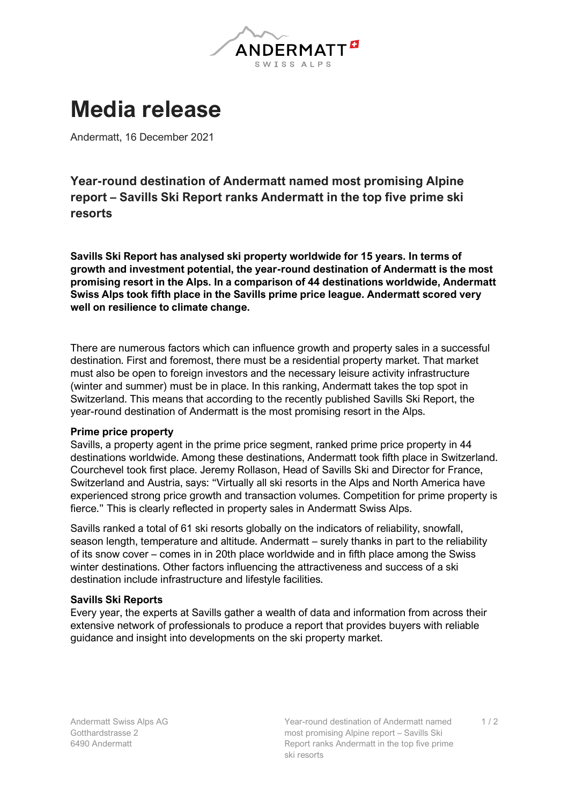

## **Media release**

Andermatt, 16 December 2021

**Year-round destination of Andermatt named most promising Alpine report – Savills Ski Report ranks Andermatt in the top five prime ski resorts**

**Savills Ski Report has analysed ski property worldwide for 15 years. In terms of growth and investment potential, the year-round destination of Andermatt is the most promising resort in the Alps. In a comparison of 44 destinations worldwide, Andermatt Swiss Alps took fifth place in the Savills prime price league. Andermatt scored very well on resilience to climate change.** 

There are numerous factors which can influence growth and property sales in a successful destination. First and foremost, there must be a residential property market. That market must also be open to foreign investors and the necessary leisure activity infrastructure (winter and summer) must be in place. In this ranking, Andermatt takes the top spot in Switzerland. This means that according to the recently published Savills Ski Report, the year-round destination of Andermatt is the most promising resort in the Alps.

## **Prime price property**

Savills, a property agent in the prime price segment, ranked prime price property in 44 destinations worldwide. Among these destinations, Andermatt took fifth place in Switzerland. Courchevel took first place. Jeremy Rollason, Head of Savills Ski and Director for France, Switzerland and Austria, says: "Virtually all ski resorts in the Alps and North America have experienced strong price growth and transaction volumes. Competition for prime property is fierce." This is clearly reflected in property sales in Andermatt Swiss Alps.

Savills ranked a total of 61 ski resorts globally on the indicators of reliability, snowfall, season length, temperature and altitude. Andermatt – surely thanks in part to the reliability of its snow cover – comes in in 20th place worldwide and in fifth place among the Swiss winter destinations. Other factors influencing the attractiveness and success of a ski destination include infrastructure and lifestyle facilities.

## **Savills Ski Reports**

Every year, the experts at Savills gather a wealth of data and information from across their extensive network of professionals to produce a report that provides buyers with reliable guidance and insight into developments on the ski property market.

 $1/2$